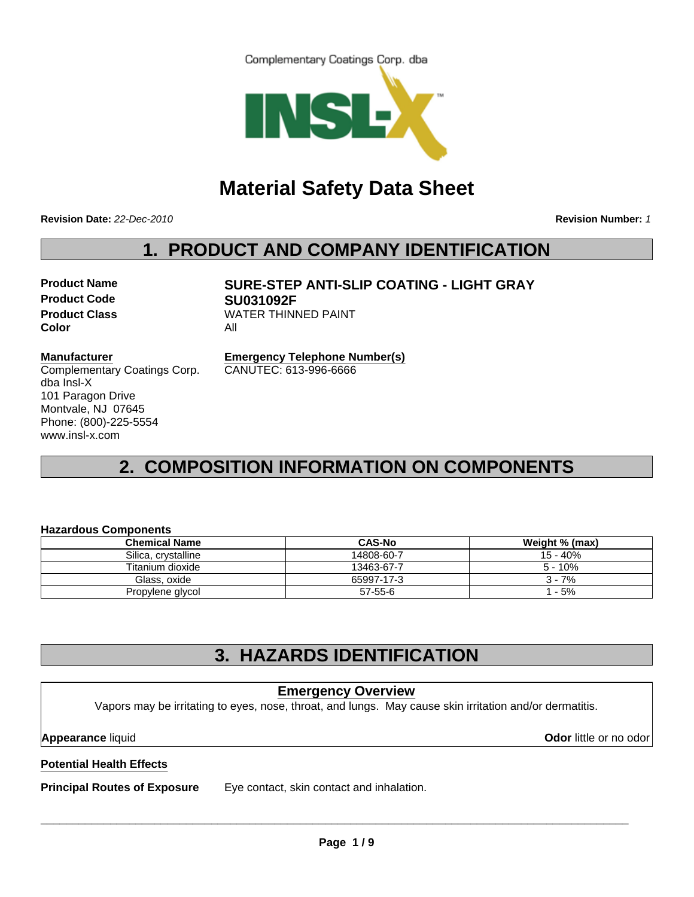Complementary Coatings Corp. dba



# **Material Safety Data Sheet**

**Revision Date:** *22-Dec-2010*

**Revision Number:** *1*

# **1. PRODUCT AND COMPANY IDENTIFICATION**

**Product Code SU031092F Color** All

**Product Name SURE-STEP ANTI-SLIP COATING - LIGHT GRAY Product Class WATER THINNED PAINT** 

#### **Manufacturer**

Complementary Coatings Corp. dba Insl-X 101 Paragon Drive Montvale, NJ 07645 Phone: (800)-225-5554 www.insl-x.com

**Emergency Telephone Number(s)** CANUTEC: 613-996-6666

# **2. COMPOSITION INFORMATION ON COMPONENTS**

#### **Hazardous Components**

| <b>Chemical Name</b> | <b>CAS-No</b> | Weight % (max) |
|----------------------|---------------|----------------|
| Silica, crystalline  | 14808-60-7    | 15 - 40%       |
| Titanium dioxide     | 13463-67-7    | 5 - 10%        |
| Glass, oxide         | 65997-17-3    | $3 - 7%$       |
| Propylene glycol     | 57-55-6       | - 5%           |

# **3. HAZARDS IDENTIFICATION**

# **Potential Health Effects Principal Routes of Exposure** Eye contact, skin contact and inhalation. **Emergency Overview** Vapors may be irritating to eyes, nose, throat, and lungs. May cause skin irritation and/or dermatitis. **Appearance** liquid **Odor** little or no odor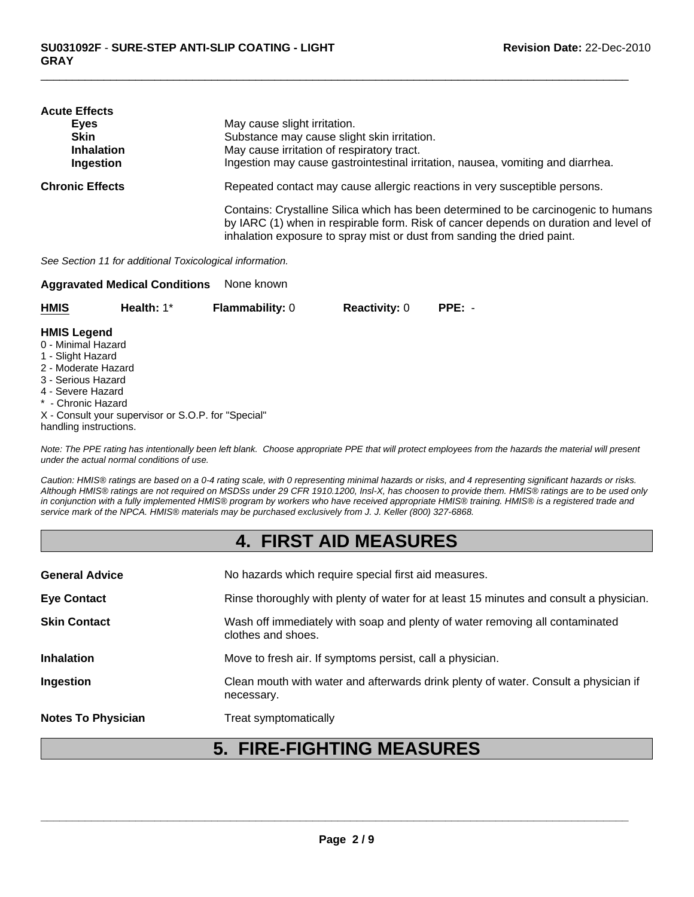| <b>Acute Effects</b>   |                                                                                      |
|------------------------|--------------------------------------------------------------------------------------|
| Eyes                   | May cause slight irritation.                                                         |
| <b>Skin</b>            | Substance may cause slight skin irritation.                                          |
| <b>Inhalation</b>      | May cause irritation of respiratory tract.                                           |
| Ingestion              | Ingestion may cause gastrointestinal irritation, nausea, vomiting and diarrhea.      |
| <b>Chronic Effects</b> | Repeated contact may cause allergic reactions in very susceptible persons.           |
|                        | Contains: Crystalline Silica which has been determined to be carcinogenic to humans  |
|                        | by IARC (1) when in respirable form. Risk of cancer depends on duration and level of |
|                        | inhalation exposure to spray mist or dust from sanding the dried paint.              |

 $\Box$ 

*See Section 11 for additional Toxicological information.*

| None known<br><b>Aggravated Medical Conditions</b>                                                                                                                              |                                                     |                 |                      |          |
|---------------------------------------------------------------------------------------------------------------------------------------------------------------------------------|-----------------------------------------------------|-----------------|----------------------|----------|
| <b>HMIS</b>                                                                                                                                                                     | Health: $1^*$                                       | Flammability: 0 | <b>Reactivity: 0</b> | $PPE: -$ |
| <b>HMIS Legend</b><br>0 - Minimal Hazard<br>1 - Slight Hazard<br>2 - Moderate Hazard<br>3 - Serious Hazard<br>4 - Severe Hazard<br>* - Chronic Hazard<br>handling instructions. | X - Consult your supervisor or S.O.P. for "Special" |                 |                      |          |

*Note: The PPE rating has intentionally been left blank. Choose appropriate PPE that will protect employees from the hazards the material will present under the actual normal conditions of use.*

*Caution: HMIS® ratings are based on a 0-4 rating scale, with 0 representing minimal hazards or risks, and 4 representing significant hazards or risks. Although HMIS® ratings are not required on MSDSs under 29 CFR 1910.1200, Insl-X, has choosen to provide them. HMIS® ratings are to be used only in conjunction with a fully implemented HMIS® program by workers who have received appropriate HMIS® training. HMIS® is a registered trade and service mark of the NPCA. HMIS® materials may be purchased exclusively from J. J. Keller (800) 327-6868.*

### **4. FIRST AID MEASURES**

| <b>General Advice</b>     | No hazards which require special first aid measures.                                               |
|---------------------------|----------------------------------------------------------------------------------------------------|
| <b>Eye Contact</b>        | Rinse thoroughly with plenty of water for at least 15 minutes and consult a physician.             |
| <b>Skin Contact</b>       | Wash off immediately with soap and plenty of water removing all contaminated<br>clothes and shoes. |
| <b>Inhalation</b>         | Move to fresh air. If symptoms persist, call a physician.                                          |
| Ingestion                 | Clean mouth with water and afterwards drink plenty of water. Consult a physician if<br>necessary.  |
| <b>Notes To Physician</b> | Treat symptomatically                                                                              |

# **5. FIRE-FIGHTING MEASURES**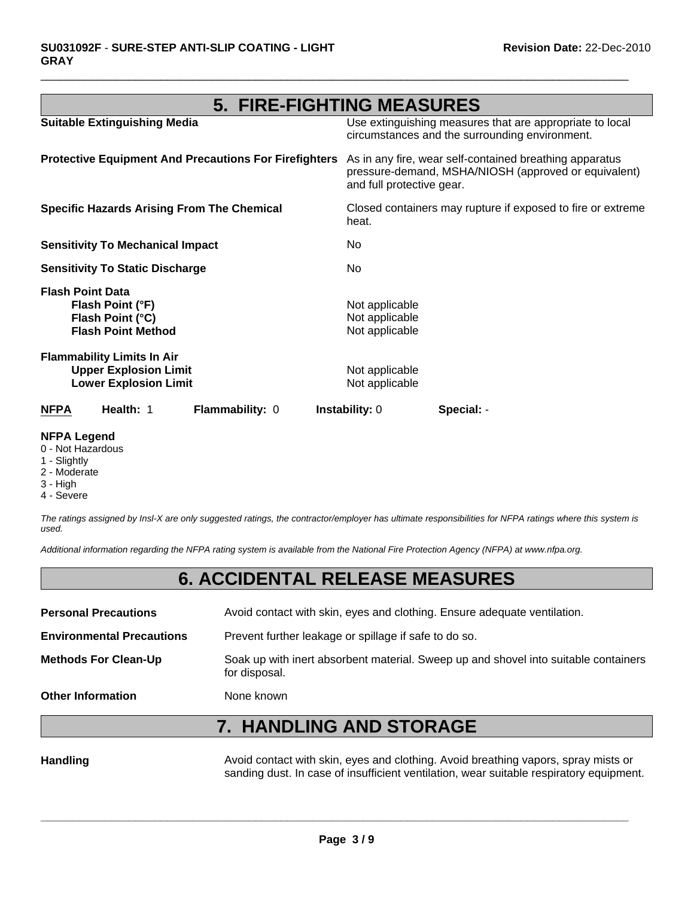# **5. FIRE-FIGHTING MEASURES**

 $\Box$ 

| <b>NFPA</b>             | Health: 1                                                                                         | Flammability: 0                                              | <b>Instability: 0</b>                              | Special: -                                                                                                      |
|-------------------------|---------------------------------------------------------------------------------------------------|--------------------------------------------------------------|----------------------------------------------------|-----------------------------------------------------------------------------------------------------------------|
|                         | <b>Flammability Limits In Air</b><br><b>Upper Explosion Limit</b><br><b>Lower Explosion Limit</b> |                                                              | Not applicable<br>Not applicable                   |                                                                                                                 |
| <b>Flash Point Data</b> | Flash Point (°F)<br>Flash Point (°C)<br><b>Flash Point Method</b>                                 |                                                              | Not applicable<br>Not applicable<br>Not applicable |                                                                                                                 |
|                         | <b>Sensitivity To Static Discharge</b>                                                            |                                                              | No.                                                |                                                                                                                 |
|                         | <b>Sensitivity To Mechanical Impact</b>                                                           |                                                              | No.                                                |                                                                                                                 |
|                         |                                                                                                   | <b>Specific Hazards Arising From The Chemical</b>            | heat.                                              | Closed containers may rupture if exposed to fire or extreme                                                     |
|                         |                                                                                                   | <b>Protective Equipment And Precautions For Firefighters</b> | and full protective gear.                          | As in any fire, wear self-contained breathing apparatus<br>pressure-demand, MSHA/NIOSH (approved or equivalent) |
|                         | <b>Suitable Extinguishing Media</b>                                                               |                                                              |                                                    | Use extinguishing measures that are appropriate to local<br>circumstances and the surrounding environment.      |

#### **NFPA Legend**

- 0 Not Hazardous
- 1 Slightly
- 2 Moderate
- 3 High
- 4 Severe

*The ratings assigned by Insl-X are only suggested ratings, the contractor/employer has ultimate responsibilities for NFPA ratings where this system is used.*

*Additional information regarding the NFPA rating system is available from the National Fire Protection Agency (NFPA) at www.nfpa.org.*

### **6. ACCIDENTAL RELEASE MEASURES**

| <b>Personal Precautions</b>      | Avoid contact with skin, eyes and clothing. Ensure adequate ventilation.                             |
|----------------------------------|------------------------------------------------------------------------------------------------------|
| <b>Environmental Precautions</b> | Prevent further leakage or spillage if safe to do so.                                                |
| <b>Methods For Clean-Up</b>      | Soak up with inert absorbent material. Sweep up and shovel into suitable containers<br>for disposal. |
| <b>Other Information</b>         | None known                                                                                           |

# **7. HANDLING AND STORAGE**

Handling **Handling** Avoid contact with skin, eyes and clothing. Avoid breathing vapors, spray mists or sanding dust. In case of insufficient ventilation, wear suitable respiratory equipment.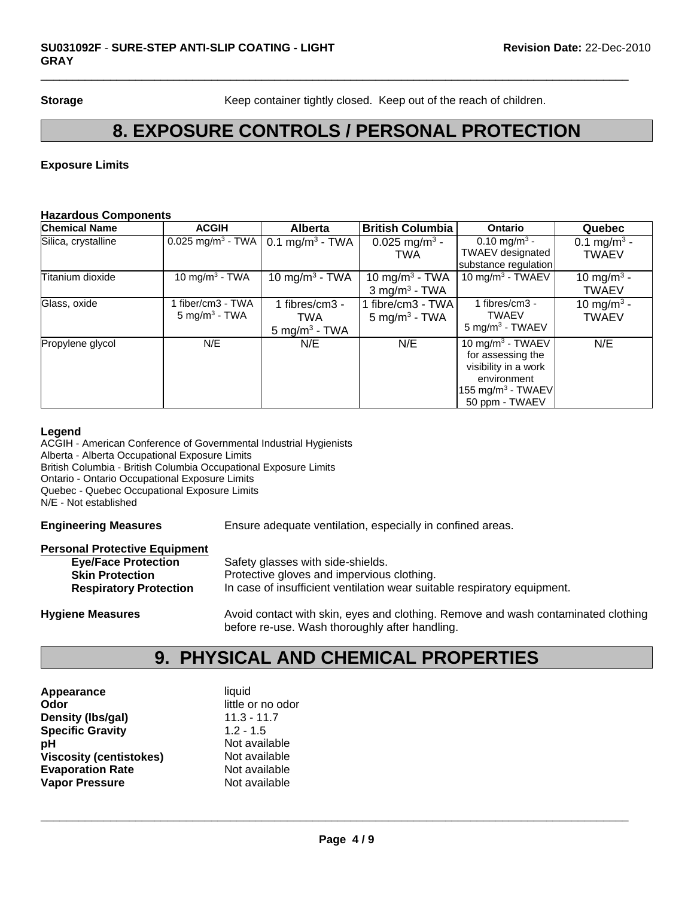**Storage** Keep container tightly closed. Keep out of the reach of children.

## **8. EXPOSURE CONTROLS / PERSONAL PROTECTION**

 $\Box$ 

### **Exposure Limits**

#### **Hazardous Components**

| <b>Chemical Name</b> | <b>ACGIH</b>                                | <b>Alberta</b>                                    | <b>British Columbia</b>                                | <b>Ontario</b>                                                                                                                              | Quebec                                  |
|----------------------|---------------------------------------------|---------------------------------------------------|--------------------------------------------------------|---------------------------------------------------------------------------------------------------------------------------------------------|-----------------------------------------|
| Silica, crystalline  | 0.025 mg/m <sup>3</sup> - TWA               | $0.1 \text{ mg/m}^3$ - TWA                        | 0.025 mg/m <sup>3</sup> -<br><b>TWA</b>                | 0.10 mg/m <sup>3</sup> -<br><b>TWAEV</b> designated<br>substance regulation                                                                 | 0.1 mg/m <sup>3</sup> -<br><b>TWAEV</b> |
| Titanium dioxide     | 10 mg/m <sup>3</sup> - TWA                  | 10 mg/m <sup>3</sup> - TWA                        | 10 mg/m <sup>3</sup> - TWA<br>$3 \text{ mg/m}^3$ - TWA | 10 mg/m $3$ - TWAEV                                                                                                                         | 10 mg/m <sup>3</sup> -<br><b>TWAEV</b>  |
| Glass, oxide         | fiber/cm3 - TWA<br>$5 \text{ mg/m}^3$ - TWA | 1 fibres/cm3 -<br>TWA<br>$5 \text{ mg/m}^3$ - TWA | 1 fibre/cm3 - TWA<br>$5 \text{ mg/m}^3$ - TWA          | 1 fibres/cm3 -<br><b>TWAEV</b><br>$5 \text{ mg/m}^3$ - TWAEV                                                                                | 10 mg/m <sup>3</sup> -<br><b>TWAEV</b>  |
| Propylene glycol     | N/E                                         | N/E                                               | N/E                                                    | 10 mg/m <sup>3</sup> - TWAEV<br>for assessing the<br>visibility in a work<br>environment<br>155 mg/m <sup>3</sup> - TWAEV<br>50 ppm - TWAEV | N/E                                     |

#### **Legend**

ACGIH - American Conference of Governmental Industrial Hygienists Alberta - Alberta Occupational Exposure Limits British Columbia - British Columbia Occupational Exposure Limits Ontario - Ontario Occupational Exposure Limits Quebec - Quebec Occupational Exposure Limits N/E - Not established

**Engineering Measures** Ensure adequate ventilation, especially in confined areas.

#### **Personal Protective Equipment**

| <b>Eye/Face Protection</b>    | Safety glasses with side-shields.                                                                                                   |
|-------------------------------|-------------------------------------------------------------------------------------------------------------------------------------|
| <b>Skin Protection</b>        | Protective gloves and impervious clothing.                                                                                          |
| <b>Respiratory Protection</b> | In case of insufficient ventilation wear suitable respiratory equipment.                                                            |
| <b>Hygiene Measures</b>       | Avoid contact with skin, eyes and clothing. Remove and wash contaminated clothing<br>before re-use. Wash thoroughly after handling. |

### **9. PHYSICAL AND CHEMICAL PROPERTIES**

| liquid            |
|-------------------|
| little or no odor |
| $11.3 - 11.7$     |
| $1.2 - 1.5$       |
| Not available     |
| Not available     |
| Not available     |
| Not available     |
|                   |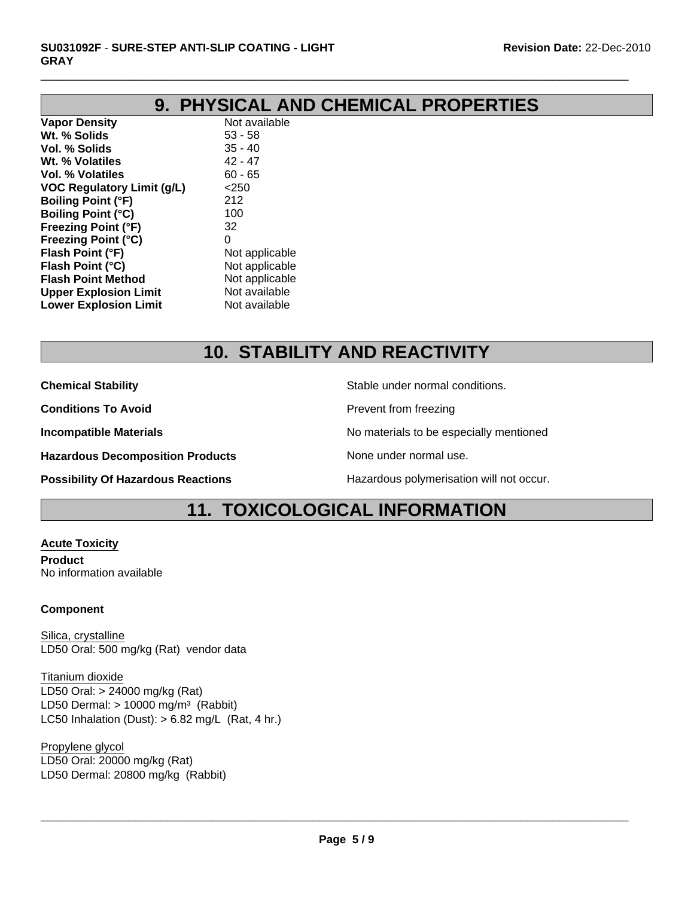# **9. PHYSICAL AND CHEMICAL PROPERTIES**

 $\Box$ 

**Vapor Density** Not available **Wt. % Solids** 53 - 58 **Vol. % Solids** 35 - 40 **Wt. % Volatiles** 42 - 47 **Vol. % Volatiles** 60 - 65 **VOC Regulatory Limit (g/L)** <250 **Boiling Point (°F)** 212 **Boiling Point (°C)** 100 **Freezing Point (°F)** 32 **Freezing Point (°C)** 0 **Flash Point (°F)** Not applicable **Flash Point (°C)** Not applicable **Flash Point Method** Not applicable **Upper Explosion Limit** Not available **Lower Explosion Limit** Not available

# **10. STABILITY AND REACTIVITY**

**Chemical Stability Stability** Stable under normal conditions.

**Conditions To Avoid Prevent from freezing** 

**Hazardous Decomposition Products** None under normal use.

**Incompatible Materials No materials** No materials to be especially mentioned

**Possibility Of Hazardous Reactions Hazardous polymerisation will not occur.** 

## **11. TOXICOLOGICAL INFORMATION**

**Acute Toxicity Product** No information available

### **Component**

Silica, crystalline LD50 Oral: 500 mg/kg (Rat) vendor data

Titanium dioxide LD50 Oral: > 24000 mg/kg (Rat) LD50 Dermal:  $> 10000$  mg/m<sup>3</sup> (Rabbit) LC50 Inhalation (Dust):  $> 6.82$  mg/L (Rat, 4 hr.)

Propylene glycol LD50 Oral: 20000 mg/kg (Rat) LD50 Dermal: 20800 mg/kg (Rabbit)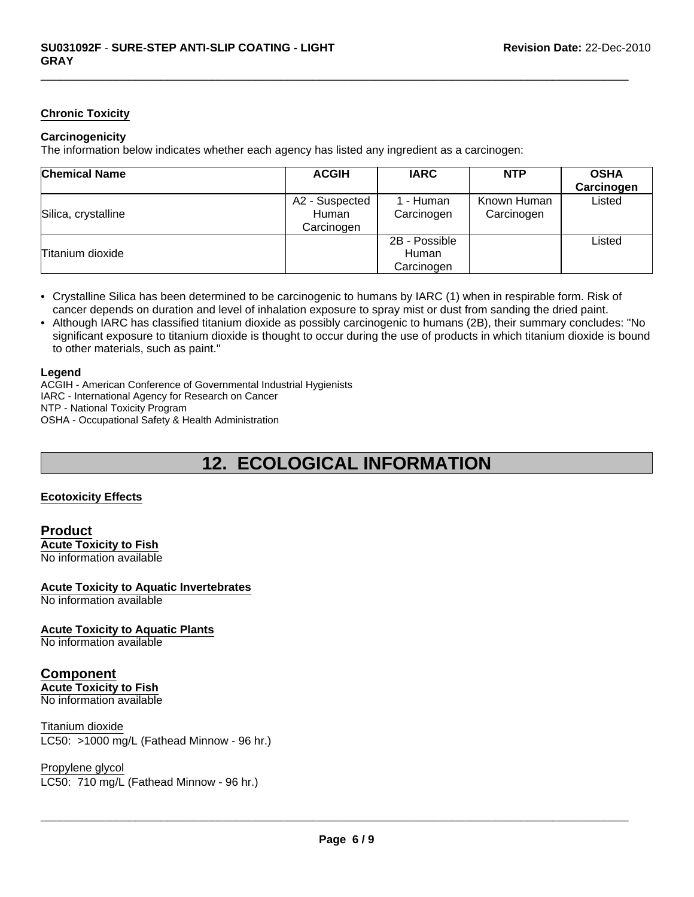#### **Chronic Toxicity**

#### **Carcinogenicity**

The information below indicates whether each agency has listed any ingredient as a carcinogen:

| <b>Chemical Name</b> | <b>ACGIH</b>                          | <b>IARC</b>                          | <b>NTP</b>                | <b>OSHA</b><br>Carcinogen |
|----------------------|---------------------------------------|--------------------------------------|---------------------------|---------------------------|
| Silica, crystalline  | A2 - Suspected<br>Human<br>Carcinogen | - Human<br>Carcinogen                | Known Human<br>Carcinogen | Listed                    |
| Titanium dioxide     |                                       | 2B - Possible<br>Human<br>Carcinogen |                           | Listed                    |

 $\Box$ 

- Crystalline Silica has been determined to be carcinogenic to humans by IARC (1) when in respirable form. Risk of cancer depends on duration and level of inhalation exposure to spray mist or dust from sanding the dried paint.
- Although IARC has classified titanium dioxide as possibly carcinogenic to humans (2B), their summary concludes: "No significant exposure to titanium dioxide is thought to occur during the use of products in which titanium dioxide is bound to other materials, such as paint."

#### **Legend**

ACGIH - American Conference of Governmental Industrial Hygienists IARC - International Agency for Research on Cancer NTP - National Toxicity Program OSHA - Occupational Safety & Health Administration

# **12. ECOLOGICAL INFORMATION**

#### **Ecotoxicity Effects**

#### **Product Acute Toxicity to Fish** No information available

#### **Acute Toxicity to Aquatic Invertebrates** No information available

**Acute Toxicity to Aquatic Plants**

No information available

### **Component**

**Acute Toxicity to Fish** No information available

LC50: >1000 mg/L (Fathead Minnow - 96 hr.) Titanium dioxide

Propylene glycol LC50: 710 mg/L (Fathead Minnow - 96 hr.)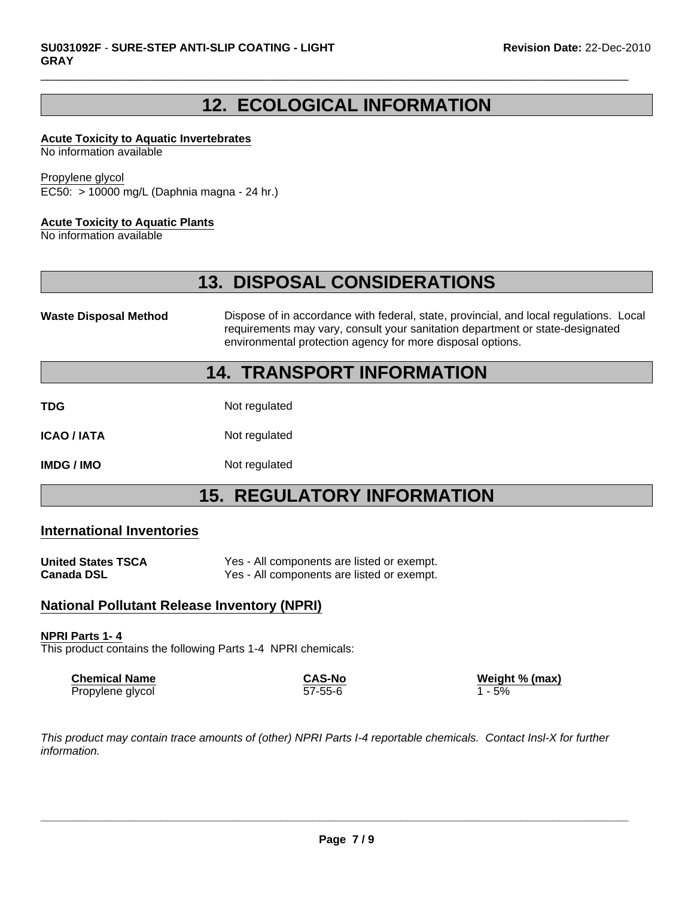## **12. ECOLOGICAL INFORMATION**

 $\Box$ 

#### **Acute Toxicity to Aquatic Invertebrates**

No information available

#### Propylene glycol

EC50: > 10000 mg/L (Daphnia magna - 24 hr.)

#### **Acute Toxicity to Aquatic Plants**

No information available

### **13. DISPOSAL CONSIDERATIONS**

**Waste Disposal Method** Dispose of in accordance with federal, state, provincial, and local regulations. Local requirements may vary, consult your sanitation department or state-designated environmental protection agency for more disposal options.

### **14. TRANSPORT INFORMATION**

**TDG** Not regulated

**ICAO / IATA** Not regulated

**IMDG / IMO** Not regulated

# **15. REGULATORY INFORMATION**

#### **International Inventories**

| <b>United States TSCA</b> | Yes - All components are listed or exempt. |
|---------------------------|--------------------------------------------|
| <b>Canada DSL</b>         | Yes - All components are listed or exempt. |

### **National Pollutant Release Inventory (NPRI)**

#### **NPRI Parts 1- 4**

This product contains the following Parts 1-4 NPRI chemicals:

| <b>Chemical Name</b> | <b>CAS-No</b> | Weight % (max) |
|----------------------|---------------|----------------|
| Propylene glycol     | $57 - 55 - 6$ | 1 - 5%         |

*This product may contain trace amounts of (other) NPRI Parts I-4 reportable chemicals. Contact Insl-X for further information.*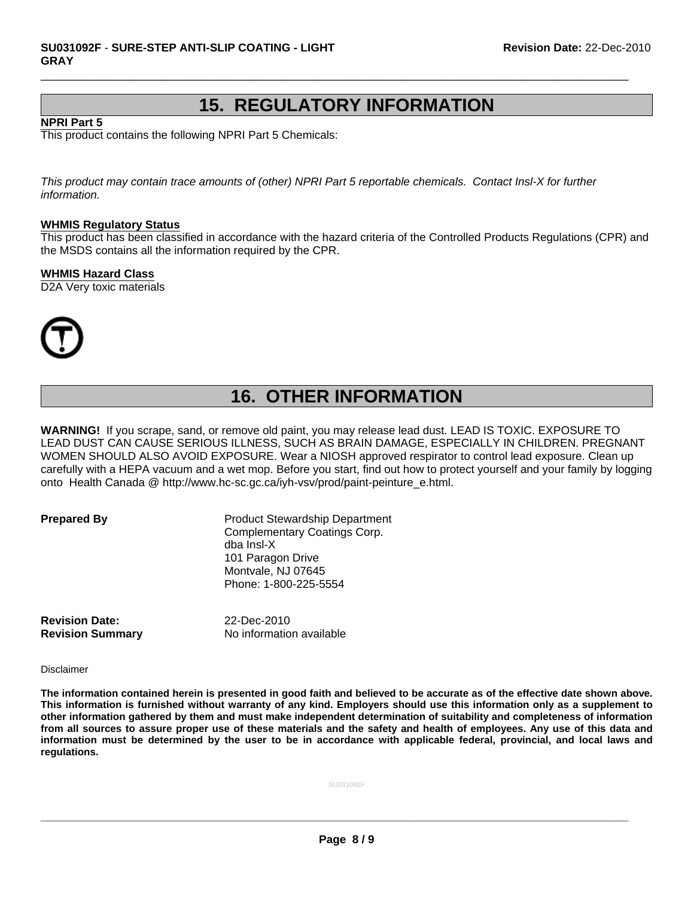### **15. REGULATORY INFORMATION**

 $\Box$ 

#### **NPRI Part 5**

This product contains the following NPRI Part 5 Chemicals:

*This product may contain trace amounts of (other) NPRI Part 5 reportable chemicals. Contact Insl-X for further information.*

#### **WHMIS Regulatory Status**

This product has been classified in accordance with the hazard criteria of the Controlled Products Regulations (CPR) and the MSDS contains all the information required by the CPR.

#### **WHMIS Hazard Class**

D2A Very toxic materials



# **16. OTHER INFORMATION**

**WARNING!** If you scrape, sand, or remove old paint, you may release lead dust. LEAD IS TOXIC. EXPOSURE TO LEAD DUST CAN CAUSE SERIOUS ILLNESS, SUCH AS BRAIN DAMAGE, ESPECIALLY IN CHILDREN. PREGNANT WOMEN SHOULD ALSO AVOID EXPOSURE. Wear a NIOSH approved respirator to control lead exposure. Clean up carefully with a HEPA vacuum and a wet mop. Before you start, find out how to protect yourself and your family by logging onto Health Canada @ http://www.hc-sc.gc.ca/iyh-vsv/prod/paint-peinture\_e.html.

**Prepared By** Product Stewardship Department Complementary Coatings Corp. dba Insl-X 101 Paragon Drive Montvale, NJ 07645 Phone: 1-800-225-5554

**Revision Date:** 22-Dec-2010

**Revision Summary** No information available

Disclaimer

**The information contained herein is presented in good faith and believed to be accurate as of the effective date shown above. This information is furnished without warranty of any kind. Employers should use this information only as a supplement to other information gathered by them and must make independent determination of suitability and completeness of information from all sources to assure proper use of these materials and the safety and health of employees. Any use of this data and information must be determined by the user to be in accordance with applicable federal, provincial, and local laws and regulations.**

SU031092F